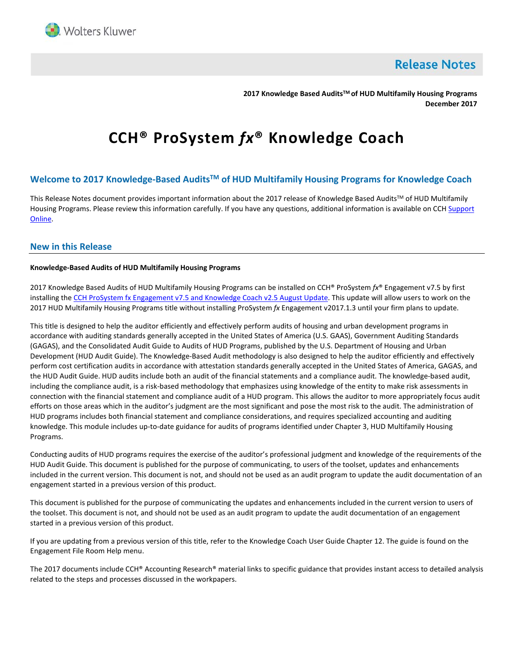

**Release Notes** 

**2017 Knowledge Based AuditsTM of HUD Multifamily Housing Programs December 2017** 

# **CCH® ProSystem** *fx***® Knowledge Coach**

## **Welcome to 2017 Knowledge-Based AuditsTM of HUD Multifamily Housing Programs for Knowledge Coach**

This Release Notes document provides important information about the 2017 release of Knowledge Based Audits™ of HUD Multifamily Housing Programs. Please review this information carefully. If you have any questions, additional information is available on CCH Support [Online.](http://support.cch.com/productsupport/) 

#### **New in this Release**

#### **Knowledge-Based Audits of HUD Multifamily Housing Programs**

2017 Knowledge Based Audits of HUD Multifamily Housing Programs can be installed on CCH® ProSystem *fx*® Engagement v7.5 by first installing the [CCH ProSystem fx Engagement v7.5 and Knowledge Coach v2.5 August Update.](https://support.cch.com/updates/Engagement/patch75/patch75.aspx) This update will allow users to work on the 2017 HUD Multifamily Housing Programs title without installing ProSystem *fx* Engagement v2017.1.3 until your firm plans to update.

This title is designed to help the auditor efficiently and effectively perform audits of housing and urban development programs in accordance with auditing standards generally accepted in the United States of America (U.S. GAAS), Government Auditing Standards (GAGAS), and the Consolidated Audit Guide to Audits of HUD Programs, published by the U.S. Department of Housing and Urban Development (HUD Audit Guide). The Knowledge-Based Audit methodology is also designed to help the auditor efficiently and effectively perform cost certification audits in accordance with attestation standards generally accepted in the United States of America, GAGAS, and the HUD Audit Guide. HUD audits include both an audit of the financial statements and a compliance audit. The knowledge-based audit, including the compliance audit, is a risk-based methodology that emphasizes using knowledge of the entity to make risk assessments in connection with the financial statement and compliance audit of a HUD program. This allows the auditor to more appropriately focus audit efforts on those areas which in the auditor's judgment are the most significant and pose the most risk to the audit. The administration of HUD programs includes both financial statement and compliance considerations, and requires specialized accounting and auditing knowledge. This module includes up-to-date guidance for audits of programs identified under Chapter 3, HUD Multifamily Housing Programs.

Conducting audits of HUD programs requires the exercise of the auditor's professional judgment and knowledge of the requirements of the HUD Audit Guide. This document is published for the purpose of communicating, to users of the toolset, updates and enhancements included in the current version. This document is not, and should not be used as an audit program to update the audit documentation of an engagement started in a previous version of this product.

This document is published for the purpose of communicating the updates and enhancements included in the current version to users of the toolset. This document is not, and should not be used as an audit program to update the audit documentation of an engagement started in a previous version of this product.

If you are updating from a previous version of this title, refer to the Knowledge Coach User Guide Chapter 12. The guide is found on the Engagement File Room Help menu.

The 2017 documents include CCH® Accounting Research® material links to specific guidance that provides instant access to detailed analysis related to the steps and processes discussed in the workpapers.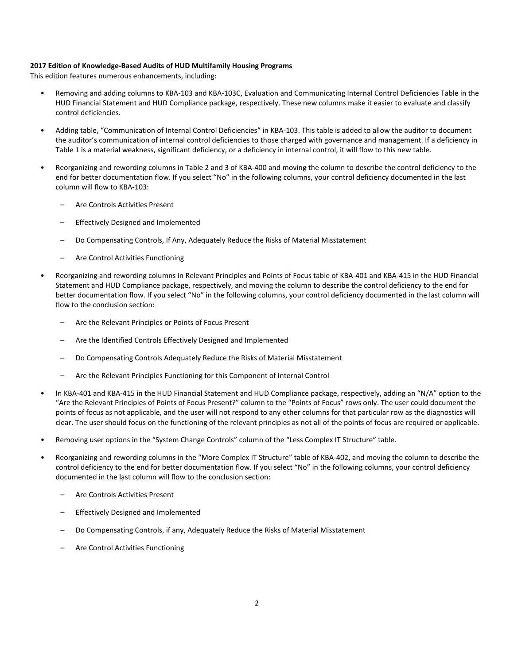#### **2017 Edition of Knowledge-Based Audits of HUD Multifamily Housing Programs**

This edition features numerous enhancements, including:

- Removing and adding columns to KBA-103 and KBA-103C, Evaluation and Communicating Internal Control Deficiencies Table in the HUD Financial Statement and HUD Compliance package, respectively. These new columns make it easier to evaluate and classify control deficiencies.
- Adding table, "Communication of Internal Control Deficiencies" in KBA-103. This table is added to allow the auditor to document the auditor's communication of internal control deficiencies to those charged with governance and management. If a deficiency in Table 1 is a material weakness, significant deficiency, or a deficiency in internal control, it will flow to this new table.
- Reorganizing and rewording columns in Table 2 and 3 of KBA-400 and moving the column to describe the control deficiency to the end for better documentation flow. If you select "No" in the following columns, your control deficiency documented in the last column will flow to KBA-103:
	- Are Controls Activities Present
	- Effectively Designed and Implemented
	- Do Compensating Controls, If Any, Adequately Reduce the Risks of Material Misstatement
	- Are Control Activities Functioning
- Reorganizing and rewording columns in Relevant Principles and Points of Focus table of KBA-401 and KBA-415 in the HUD Financial Statement and HUD Compliance package, respectively, and moving the column to describe the control deficiency to the end for better documentation flow. If you select "No" in the following columns, your control deficiency documented in the last column will flow to the conclusion section:
	- Are the Relevant Principles or Points of Focus Present
	- Are the Identified Controls Effectively Designed and Implemented
	- Do Compensating Controls Adequately Reduce the Risks of Material Misstatement
	- Are the Relevant Principles Functioning for this Component of Internal Control
- In KBA-401 and KBA-415 in the HUD Financial Statement and HUD Compliance package, respectively, adding an "N/A" option to the "Are the Relevant Principles of Points of Focus Present?" column to the "Points of Focus" rows only. The user could document the points of focus as not applicable, and the user will not respond to any other columns for that particular row as the diagnostics will clear. The user should focus on the functioning of the relevant principles as not all of the points of focus are required or applicable.
- Removing user options in the "System Change Controls" column of the "Less Complex IT Structure" table.
- Reorganizing and rewording columns in the "More Complex IT Structure" table of KBA-402, and moving the column to describe the control deficiency to the end for better documentation flow. If you select "No" in the following columns, your control deficiency documented in the last column will flow to the conclusion section:
	- Are Controls Activities Present
	- Effectively Designed and Implemented
	- Do Compensating Controls, if any, Adequately Reduce the Risks of Material Misstatement
	- Are Control Activities Functioning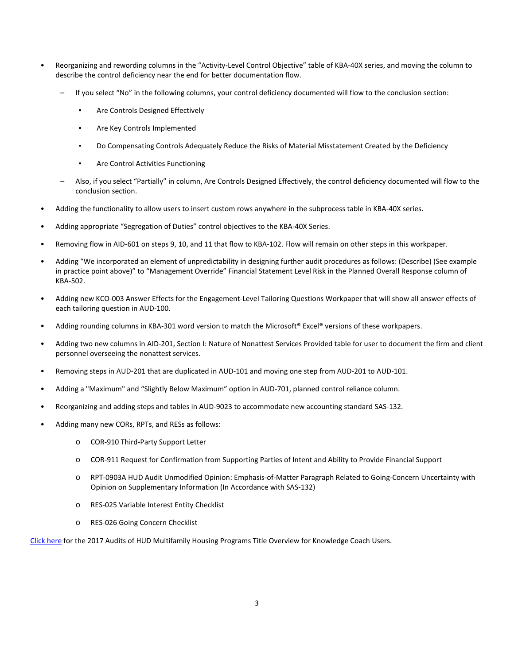- Reorganizing and rewording columns in the "Activity-Level Control Objective" table of KBA-40X series, and moving the column to describe the control deficiency near the end for better documentation flow.
	- If you select "No" in the following columns, your control deficiency documented will flow to the conclusion section:
		- Are Controls Designed Effectively
		- Are Key Controls Implemented
		- Do Compensating Controls Adequately Reduce the Risks of Material Misstatement Created by the Deficiency
		- Are Control Activities Functioning
	- Also, if you select "Partially" in column, Are Controls Designed Effectively, the control deficiency documented will flow to the conclusion section.
- Adding the functionality to allow users to insert custom rows anywhere in the subprocess table in KBA-40X series.
- Adding appropriate "Segregation of Duties" control objectives to the KBA-40X Series.
- Removing flow in AID-601 on steps 9, 10, and 11 that flow to KBA-102. Flow will remain on other steps in this workpaper.
- Adding "We incorporated an element of unpredictability in designing further audit procedures as follows: (Describe) (See example in practice point above)" to "Management Override" Financial Statement Level Risk in the Planned Overall Response column of KBA-502.
- Adding new KCO-003 Answer Effects for the Engagement-Level Tailoring Questions Workpaper that will show all answer effects of each tailoring question in AUD-100.
- Adding rounding columns in KBA-301 word version to match the Microsoft® Excel® versions of these workpapers.
- Adding two new columns in AID-201, Section I: Nature of Nonattest Services Provided table for user to document the firm and client personnel overseeing the nonattest services.
- Removing steps in AUD-201 that are duplicated in AUD-101 and moving one step from AUD-201 to AUD-101.
- Adding a "Maximum" and "Slightly Below Maximum" option in AUD-701, planned control reliance column.
- Reorganizing and adding steps and tables in AUD-9023 to accommodate new accounting standard SAS-132.
- Adding many new CORs, RPTs, and RESs as follows:
	- o COR-910 Third-Party Support Letter
	- o COR-911 Request for Confirmation from Supporting Parties of Intent and Ability to Provide Financial Support
	- o RPT-0903A HUD Audit Unmodified Opinion: Emphasis-of-Matter Paragraph Related to Going-Concern Uncertainty with Opinion on Supplementary Information (In Accordance with SAS-132)
	- o RES-025 Variable Interest Entity Checklist
	- o RES-026 Going Concern Checklist

[Click here](http://support.cch.com/updates/KnowledgeCoach/pdf/guides_tab/2017%20HUD%20Title%20Overview%20for%20Knowledge%20Coach%20Users.pdf) for the 2017 Audits of HUD Multifamily Housing Programs Title Overview for Knowledge Coach Users.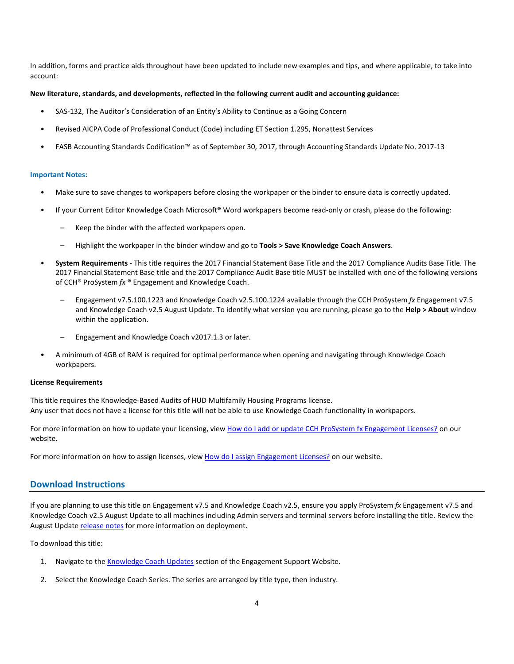In addition, forms and practice aids throughout have been updated to include new examples and tips, and where applicable, to take into account:

#### **New literature, standards, and developments, reflected in the following current audit and accounting guidance:**

- SAS-132, The Auditor's Consideration of an Entity's Ability to Continue as a Going Concern
- Revised AICPA Code of Professional Conduct (Code) including ET Section 1.295, Nonattest Services
- FASB Accounting Standards Codification™ as of September 30, 2017, through Accounting Standards Update No. 2017-13

#### **Important Notes:**

- Make sure to save changes to workpapers before closing the workpaper or the binder to ensure data is correctly updated.
- If your Current Editor Knowledge Coach Microsoft® Word workpapers become read-only or crash, please do the following:
	- Keep the binder with the affected workpapers open.
	- Highlight the workpaper in the binder window and go to **Tools > Save Knowledge Coach Answers**.
- **System Requirements** This title requires the 2017 Financial Statement Base Title and the 2017 Compliance Audits Base Title. The 2017 Financial Statement Base title and the 2017 Compliance Audit Base title MUST be installed with one of the following versions of CCH® ProSystem *fx* ® Engagement and Knowledge Coach.
	- Engagement v7.5.100.1223 and Knowledge Coach v2.5.100.1224 available through the CCH ProSystem *fx* Engagement v7.5 and Knowledge Coach v2.5 August Update. To identify what version you are running, please go to the **Help > About** window within the application.
	- Engagement and Knowledge Coach v2017.1.3 or later.
- A minimum of 4GB of RAM is required for optimal performance when opening and navigating through Knowledge Coach workpapers.

#### **License Requirements**

This title requires the Knowledge-Based Audits of HUD Multifamily Housing Programs license. Any user that does not have a license for this title will not be able to use Knowledge Coach functionality in workpapers.

For more information on how to update your licensing, vie[w How do I add or update CCH ProSystem fx Engagement Licenses?](https://support.cch.com/kb/solution.aspx/sw3937) on our website.

For more information on how to assign licenses, view [How do I assign Engagement Licenses?](https://support.cch.com/kb/solution.aspx/sw3943) on our website.

#### **Download Instructions**

If you are planning to use this title on Engagement v7.5 and Knowledge Coach v2.5, ensure you apply ProSystem *fx* Engagement v7.5 and Knowledge Coach v2.5 August Update to all machines including Admin servers and terminal servers before installing the title. Review the August Update [release notes](https://support.cch.com/updates/Engagement/patch75/Engagement%20and%20KC%20July%202017%20Update%20Release%20Notes.pdf) for more information on deployment.

To download this title:

- 1. Navigate to the [Knowledge Coach Updates](http://support.cch.com/updates/KnowledgeCoach) section of the Engagement Support Website.
- 2. Select the Knowledge Coach Series. The series are arranged by title type, then industry.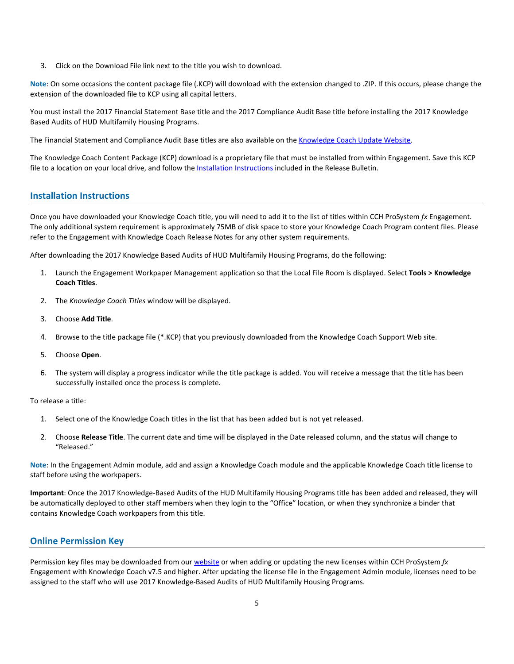3. Click on the Download File link next to the title you wish to download.

**Note**: On some occasions the content package file (.KCP) will download with the extension changed to .ZIP. If this occurs, please change the extension of the downloaded file to KCP using all capital letters.

You must install the 2017 Financial Statement Base title and the 2017 Compliance Audit Base title before installing the 2017 Knowledge Based Audits of HUD Multifamily Housing Programs.

The Financial Statement and Compliance Audit Base titles are also available on the [Knowledge Coach Update Website.](http://support.cch.com/updates/KnowledgeCoach) 

The Knowledge Coach Content Package (KCP) download is a proprietary file that must be installed from within Engagement. Save this KCP file to a location on your local drive, and follow the Installation Instructions included in the Release Bulletin.

#### **Installation Instructions**

Once you have downloaded your Knowledge Coach title, you will need to add it to the list of titles within CCH ProSystem *fx* Engagement. The only additional system requirement is approximately 75MB of disk space to store your Knowledge Coach Program content files. Please refer to the Engagement with Knowledge Coach Release Notes for any other system requirements.

After downloading the 2017 Knowledge Based Audits of HUD Multifamily Housing Programs, do the following:

- 1. Launch the Engagement Workpaper Management application so that the Local File Room is displayed. Select **Tools > Knowledge Coach Titles**.
- 2. The *Knowledge Coach Titles* window will be displayed.
- 3. Choose **Add Title**.
- 4. Browse to the title package file (\*.KCP) that you previously downloaded from the Knowledge Coach Support Web site.
- 5. Choose **Open**.
- 6. The system will display a progress indicator while the title package is added. You will receive a message that the title has been successfully installed once the process is complete.

To release a title:

- 1. Select one of the Knowledge Coach titles in the list that has been added but is not yet released.
- 2. Choose **Release Title**. The current date and time will be displayed in the Date released column, and the status will change to "Released."

**Note**: In the Engagement Admin module, add and assign a Knowledge Coach module and the applicable Knowledge Coach title license to staff before using the workpapers.

**Important**: Once the 2017 Knowledge-Based Audits of the HUD Multifamily Housing Programs title has been added and released, they will be automatically deployed to other staff members when they login to the "Office" location, or when they synchronize a binder that contains Knowledge Coach workpapers from this title.

## **Online Permission Key**

Permission key files may be downloaded from ou[r website](https://prosystemfxsupport.tax.cchgroup.com/permkey/download.aspx) or when adding or updating the new licenses within CCH ProSystem *fx* Engagement with Knowledge Coach v7.5 and higher. After updating the license file in the Engagement Admin module, licenses need to be assigned to the staff who will use 2017 Knowledge-Based Audits of HUD Multifamily Housing Programs.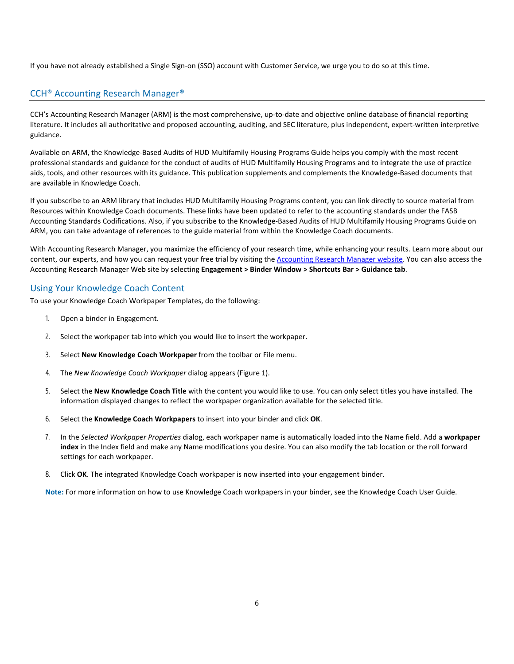If you have not already established a Single Sign-on (SSO) account with Customer Service, we urge you to do so at this time.

## CCH® Accounting Research Manager®

CCH's Accounting Research Manager (ARM) is the most comprehensive, up-to-date and objective online database of financial reporting literature. It includes all authoritative and proposed accounting, auditing, and SEC literature, plus independent, expert-written interpretive guidance.

Available on ARM, the Knowledge-Based Audits of HUD Multifamily Housing Programs Guide helps you comply with the most recent professional standards and guidance for the conduct of audits of HUD Multifamily Housing Programs and to integrate the use of practice aids, tools, and other resources with its guidance. This publication supplements and complements the Knowledge-Based documents that are available in Knowledge Coach.

If you subscribe to an ARM library that includes HUD Multifamily Housing Programs content, you can link directly to source material from Resources within Knowledge Coach documents. These links have been updated to refer to the accounting standards under the FASB Accounting Standards Codifications. Also, if you subscribe to the Knowledge-Based Audits of HUD Multifamily Housing Programs Guide on ARM, you can take advantage of references to the guide material from within the Knowledge Coach documents.

With Accounting Research Manager, you maximize the efficiency of your research time, while enhancing your results. Learn more about our content, our experts, and how you can request your free trial by visiting the [Accounting Research Manager website.](http://www.accountingresearchmanager.com/) You can also access the Accounting Research Manager Web site by selecting **Engagement > Binder Window > Shortcuts Bar > Guidance tab**.

## Using Your Knowledge Coach Content

To use your Knowledge Coach Workpaper Templates, do the following:

- 1. Open a binder in Engagement.
- 2. Select the workpaper tab into which you would like to insert the workpaper.
- 3. Select **New Knowledge Coach Workpaper** from the toolbar or File menu.
- 4. The *New Knowledge Coach Workpaper* dialog appears (Figure 1).
- 5. Select the **New Knowledge Coach Title** with the content you would like to use. You can only select titles you have installed. The information displayed changes to reflect the workpaper organization available for the selected title.
- 6. Select the **Knowledge Coach Workpapers** to insert into your binder and click **OK**.
- 7. In the *Selected Workpaper Properties* dialog, each workpaper name is automatically loaded into the Name field. Add a **workpaper index** in the Index field and make any Name modifications you desire. You can also modify the tab location or the roll forward settings for each workpaper.
- 8. Click **OK**. The integrated Knowledge Coach workpaper is now inserted into your engagement binder.

**Note:** For more information on how to use Knowledge Coach workpapers in your binder, see the Knowledge Coach User Guide.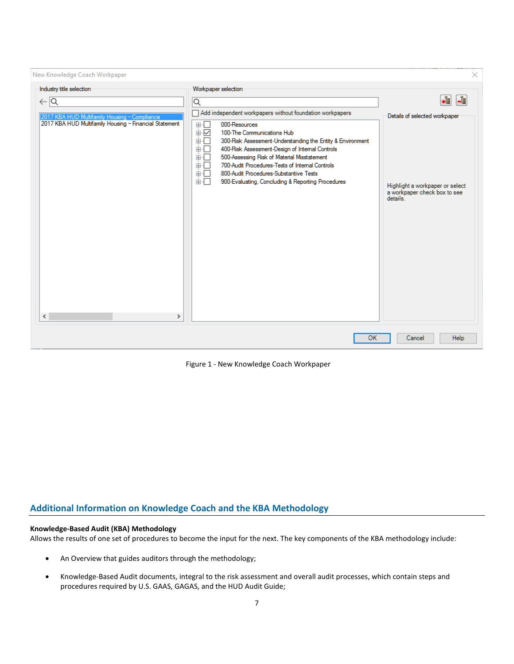| New Knowledge Coach Workpaper                                                                                                                                                                          |                                                                                                                                                                                                                                                                                                                                                                                                                                                                                                            | ×                                                                                                                        |
|--------------------------------------------------------------------------------------------------------------------------------------------------------------------------------------------------------|------------------------------------------------------------------------------------------------------------------------------------------------------------------------------------------------------------------------------------------------------------------------------------------------------------------------------------------------------------------------------------------------------------------------------------------------------------------------------------------------------------|--------------------------------------------------------------------------------------------------------------------------|
| Industry title selection<br>$\leftarrow$ $\overline{\mathsf{Q}}$<br>2017 KBA HUD Multifamily Housing - Compliance<br>2017 KBA HUD Multifamily Housing - Financial Statement<br>$\leq$<br>$\rightarrow$ | Workpaper selection<br>Q<br>Add independent workpapers without foundation workpapers<br>000-Resources<br>田田<br>国区<br>100-The Communications Hub<br>300-Risk Assessment-Understanding the Entity & Environment<br>国<br>ł.<br>400-Risk Assessment-Design of Internal Controls<br>由…<br>500-Assessing Risk of Material Misstatement<br>画画<br>700-Audit Procedures-Tests of Internal Controls<br>画画<br>800-Audit Procedures-Substantive Tests<br>面板<br>面一<br>900-Evaluating, Concluding & Reporting Procedures | ∙È<br>-흽<br>Details of selected workpaper<br>Highlight a workpaper or select<br>a workpaper check box to see<br>details. |
|                                                                                                                                                                                                        | OK                                                                                                                                                                                                                                                                                                                                                                                                                                                                                                         | Help<br>Cancel                                                                                                           |

Figure 1 - New Knowledge Coach Workpaper

## **Additional Information on Knowledge Coach and the KBA Methodology**

## **Knowledge-Based Audit (KBA) Methodology**

Allows the results of one set of procedures to become the input for the next. The key components of the KBA methodology include:

- An Overview that guides auditors through the methodology;
- Knowledge-Based Audit documents, integral to the risk assessment and overall audit processes, which contain steps and procedures required by U.S. GAAS, GAGAS, and the HUD Audit Guide;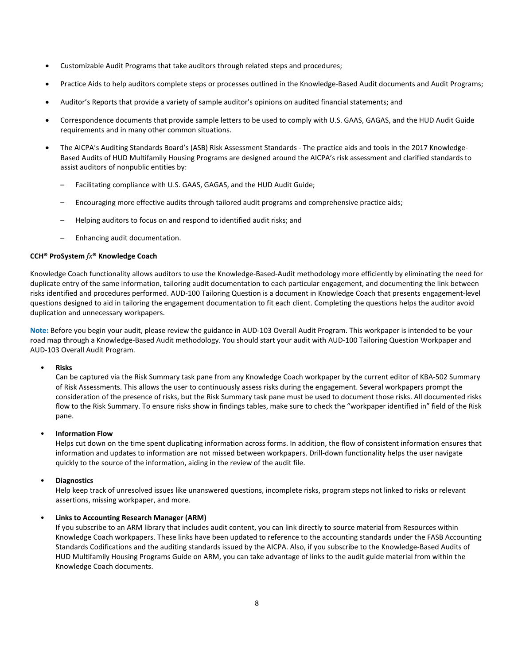- Customizable Audit Programs that take auditors through related steps and procedures;
- Practice Aids to help auditors complete steps or processes outlined in the Knowledge-Based Audit documents and Audit Programs;
- Auditor's Reports that provide a variety of sample auditor's opinions on audited financial statements; and
- Correspondence documents that provide sample letters to be used to comply with U.S. GAAS, GAGAS, and the HUD Audit Guide requirements and in many other common situations.
- The AICPA's Auditing Standards Board's (ASB) Risk Assessment Standards The practice aids and tools in the 2017 Knowledge-Based Audits of HUD Multifamily Housing Programs are designed around the AICPA's risk assessment and clarified standards to assist auditors of nonpublic entities by:
	- Facilitating compliance with U.S. GAAS, GAGAS, and the HUD Audit Guide;
	- Encouraging more effective audits through tailored audit programs and comprehensive practice aids;
	- Helping auditors to focus on and respond to identified audit risks; and
	- Enhancing audit documentation.

#### **CCH® ProSystem** *fx***® Knowledge Coach**

Knowledge Coach functionality allows auditors to use the Knowledge-Based-Audit methodology more efficiently by eliminating the need for duplicate entry of the same information, tailoring audit documentation to each particular engagement, and documenting the link between risks identified and procedures performed. AUD-100 Tailoring Question is a document in Knowledge Coach that presents engagement-level questions designed to aid in tailoring the engagement documentation to fit each client. Completing the questions helps the auditor avoid duplication and unnecessary workpapers.

**Note:** Before you begin your audit, please review the guidance in AUD-103 Overall Audit Program. This workpaper is intended to be your road map through a Knowledge-Based Audit methodology. You should start your audit with AUD-100 Tailoring Question Workpaper and AUD-103 Overall Audit Program.

#### • **Risks**

Can be captured via the Risk Summary task pane from any Knowledge Coach workpaper by the current editor of KBA-502 Summary of Risk Assessments. This allows the user to continuously assess risks during the engagement. Several workpapers prompt the consideration of the presence of risks, but the Risk Summary task pane must be used to document those risks. All documented risks flow to the Risk Summary. To ensure risks show in findings tables, make sure to check the "workpaper identified in" field of the Risk pane.

## • **Information Flow**

Helps cut down on the time spent duplicating information across forms. In addition, the flow of consistent information ensures that information and updates to information are not missed between workpapers. Drill-down functionality helps the user navigate quickly to the source of the information, aiding in the review of the audit file.

## • **Diagnostics**

Help keep track of unresolved issues like unanswered questions, incomplete risks, program steps not linked to risks or relevant assertions, missing workpaper, and more.

## • **Links to Accounting Research Manager (ARM)**

If you subscribe to an ARM library that includes audit content, you can link directly to source material from Resources within Knowledge Coach workpapers. These links have been updated to reference to the accounting standards under the FASB Accounting Standards Codifications and the auditing standards issued by the AICPA. Also, if you subscribe to the Knowledge-Based Audits of HUD Multifamily Housing Programs Guide on ARM, you can take advantage of links to the audit guide material from within the Knowledge Coach documents.